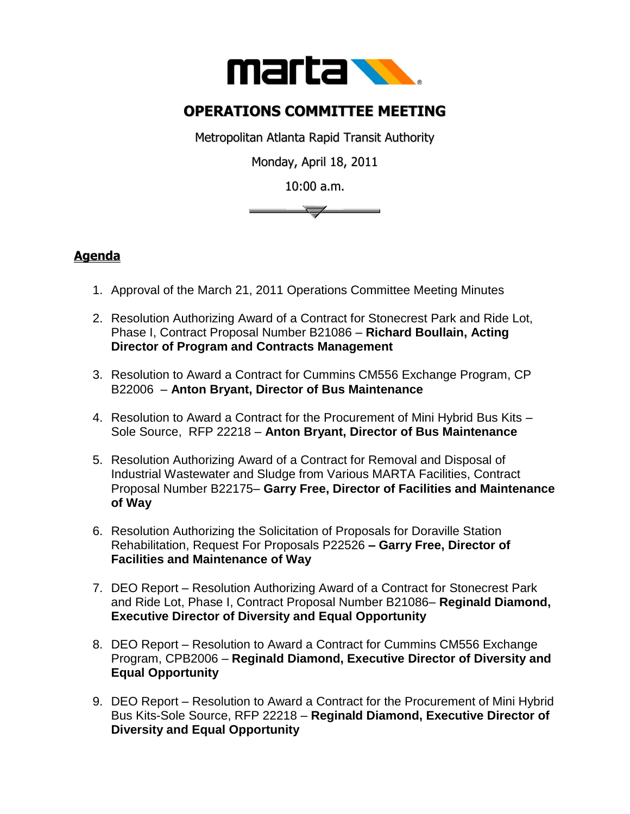

## **OPERATIONS COMMITTEE MEETING**

Metropolitan Atlanta Rapid Transit Authority

Monday, April 18, 2011

10:00 a.m.



## **Agenda**

- 1. Approval of the March 21, 2011 Operations Committee Meeting Minutes
- 2. Resolution Authorizing Award of a Contract for Stonecrest Park and Ride Lot, Phase I, Contract Proposal Number B21086 – **Richard Boullain, Acting Director of Program and Contracts Management**
- 3. Resolution to Award a Contract for Cummins CM556 Exchange Program, CP B22006 – **Anton Bryant, Director of Bus Maintenance**
- 4. Resolution to Award a Contract for the Procurement of Mini Hybrid Bus Kits Sole Source, RFP 22218 – **Anton Bryant, Director of Bus Maintenance**
- 5. Resolution Authorizing Award of a Contract for Removal and Disposal of Industrial Wastewater and Sludge from Various MARTA Facilities, Contract Proposal Number B22175– **Garry Free, Director of Facilities and Maintenance of Way**
- 6. Resolution Authorizing the Solicitation of Proposals for Doraville Station Rehabilitation, Request For Proposals P22526 **– Garry Free, Director of Facilities and Maintenance of Way**
- 7. DEO Report Resolution Authorizing Award of a Contract for Stonecrest Park and Ride Lot, Phase I, Contract Proposal Number B21086– **Reginald Diamond, Executive Director of Diversity and Equal Opportunity**
- 8. DEO Report Resolution to Award a Contract for Cummins CM556 Exchange Program, CPB2006 – **Reginald Diamond, Executive Director of Diversity and Equal Opportunity**
- 9. DEO Report Resolution to Award a Contract for the Procurement of Mini Hybrid Bus Kits-Sole Source, RFP 22218 – **Reginald Diamond, Executive Director of Diversity and Equal Opportunity**